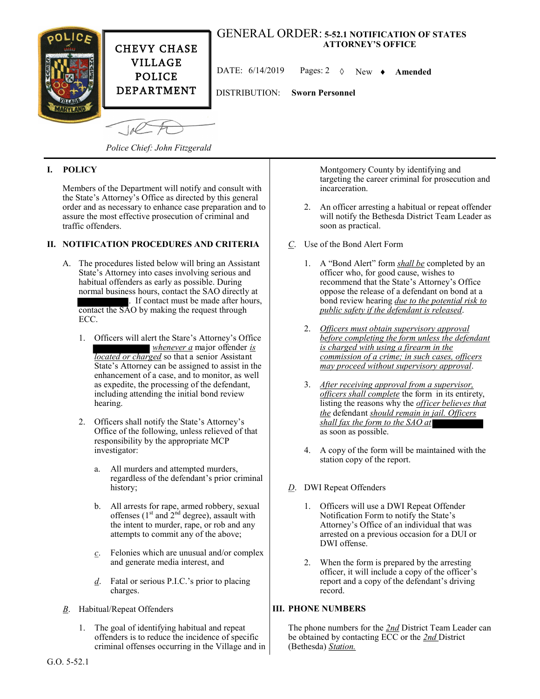

*Police Chief: John Fitzgerald*

## **I. POLICY**

Members of the Department will notify and consult with the State's Attorney's Office as directed by this general order and as necessary to enhance case preparation and to assure the most effective prosecution of criminal and traffic offenders.

## **II. NOTIFICATION PROCEDURES AND CRITERIA**

- A. The procedures listed below will bring an Assistant State's Attorney into cases involving serious and habitual offenders as early as possible. During normal business hours, contact the SAO directly at . If contact must be made after hours, contact the SAO by making the request through ECC.
	- 1. Officers will alert the Stare's Attorney's Office *whenever a* major offender *is located or charged* so that a senior Assistant State's Attorney can be assigned to assist in the enhancement of a case, and to monitor, as well as expedite, the processing of the defendant, including attending the initial bond review hearing.
	- 2. Officers shall notify the State's Attorney's Office of the following, unless relieved of that responsibility by the appropriate MCP investigator:
		- a. All murders and attempted murders, regardless of the defendant's prior criminal history;
		- b. All arrests for rape, armed robbery, sexual offenses  $(1<sup>st</sup>$  and  $2<sup>nd</sup>$  degree), assault with the intent to murder, rape, or rob and any attempts to commit any of the above;
		- *c*. Felonies which are unusual and/or complex and generate media interest, and
		- *d*. Fatal or serious P.I.C.'s prior to placing charges.
- *B*. Habitual/Repeat Offenders
	- 1. The goal of identifying habitual and repeat offenders is to reduce the incidence of specific criminal offenses occurring in the Village and in

Montgomery County by identifying and targeting the career criminal for prosecution and incarceration.

- 2. An officer arresting a habitual or repeat offender will notify the Bethesda District Team Leader as soon as practical.
- *C*. Use of the Bond Alert Form
	- 1. A "Bond Alert" form *shall be* completed by an officer who, for good cause, wishes to recommend that the State's Attorney's Office oppose the release of a defendant on bond at a bond review hearing *due to the potential risk to public safety if the defendant is released*.
	- 2. *Officers must obtain supervisory approval before completing the form unless the defendant is charged with using a firearm in the commission of a crime; in such cases, officers may proceed without supervisory approval*.
	- 3. *After receiving approval from a supervisor, officers shall complete* the form in its entirety, listing the reasons why the *officer believes that the* defendant *should remain in jail. Officers shall fax the form to the SAO at* as soon as possible.
	- 4. A copy of the form will be maintained with the station copy of the report.
- *D*. DWI Repeat Offenders
	- 1. Officers will use a DWI Repeat Offender Notification Form to notify the State's Attorney's Office of an individual that was arrested on a previous occasion for a DUI or DWI offense.
	- 2. When the form is prepared by the arresting officer, it will include a copy of the officer's report and a copy of the defendant's driving record.

## **III. PHONE NUMBERS**

The phone numbers for the *2nd* District Team Leader can be obtained by contacting ECC or the *2nd* District (Bethesda) *Station.*